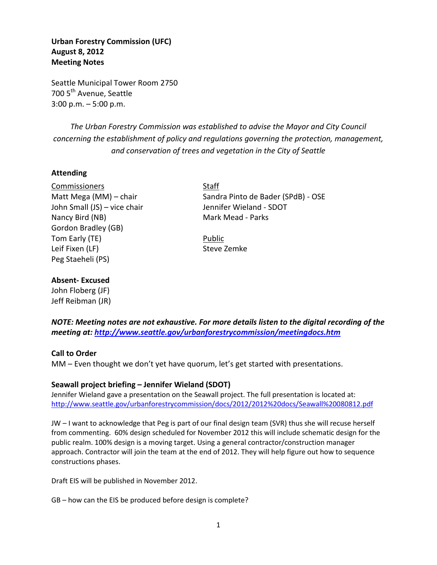**Urban Forestry Commission (UFC) August 8, 2012 Meeting Notes** 

Seattle Municipal Tower Room 2750 700 5<sup>th</sup> Avenue, Seattle 3:00 p.m. – 5:00 p.m.

*The Urban Forestry Commission was established to advise the Mayor and City Council concerning the establishment of policy and regulations governing the protection, management, and conservation of trees and vegetation in the City of Seattle*

### **Attending**

Commissioners Staff John Small (JS) – vice chair Jennifer Wieland - SDOT Nancy Bird (NB) Mark Mead - Parks Gordon Bradley (GB) Tom Early (TE) **Public** Leif Fixen (LF) Steve Zemke Peg Staeheli (PS)

Matt Mega (MM) – chair Sandra Pinto de Bader (SPdB) - OSE

# **Absent- Excused**

John Floberg (JF) Jeff Reibman (JR)

*NOTE: Meeting notes are not exhaustive. For more details listen to the digital recording of the meeting at:<http://www.seattle.gov/urbanforestrycommission/meetingdocs.htm>*

### **Call to Order**

MM – Even thought we don't yet have quorum, let's get started with presentations.

# **Seawall project briefing – Jennifer Wieland (SDOT)**

Jennifer Wieland gave a presentation on the Seawall project. The full presentation is located at: <http://www.seattle.gov/urbanforestrycommission/docs/2012/2012%20docs/Seawall%20080812.pdf>

JW – I want to acknowledge that Peg is part of our final design team (SVR) thus she will recuse herself from commenting. 60% design scheduled for November 2012 this will include schematic design for the public realm. 100% design is a moving target. Using a general contractor/construction manager approach. Contractor will join the team at the end of 2012. They will help figure out how to sequence constructions phases.

Draft EIS will be published in November 2012.

GB – how can the EIS be produced before design is complete?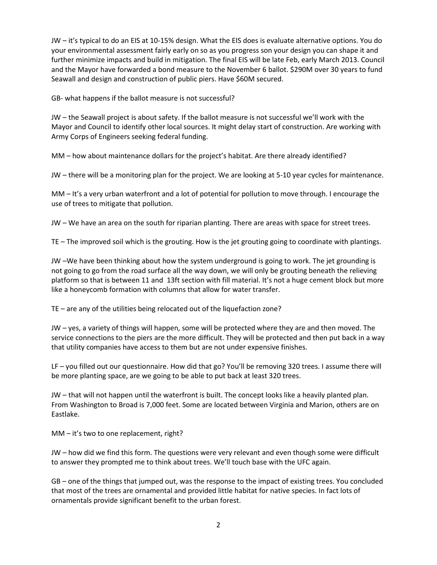JW – it's typical to do an EIS at 10-15% design. What the EIS does is evaluate alternative options. You do your environmental assessment fairly early on so as you progress son your design you can shape it and further minimize impacts and build in mitigation. The final EIS will be late Feb, early March 2013. Council and the Mayor have forwarded a bond measure to the November 6 ballot. \$290M over 30 years to fund Seawall and design and construction of public piers. Have \$60M secured.

GB- what happens if the ballot measure is not successful?

JW – the Seawall project is about safety. If the ballot measure is not successful we'll work with the Mayor and Council to identify other local sources. It might delay start of construction. Are working with Army Corps of Engineers seeking federal funding.

MM – how about maintenance dollars for the project's habitat. Are there already identified?

JW – there will be a monitoring plan for the project. We are looking at 5-10 year cycles for maintenance.

MM – It's a very urban waterfront and a lot of potential for pollution to move through. I encourage the use of trees to mitigate that pollution.

JW – We have an area on the south for riparian planting. There are areas with space for street trees.

TE – The improved soil which is the grouting. How is the jet grouting going to coordinate with plantings.

JW –We have been thinking about how the system underground is going to work. The jet grounding is not going to go from the road surface all the way down, we will only be grouting beneath the relieving platform so that is between 11 and 13ft section with fill material. It's not a huge cement block but more like a honeycomb formation with columns that allow for water transfer.

TE – are any of the utilities being relocated out of the liquefaction zone?

JW – yes, a variety of things will happen, some will be protected where they are and then moved. The service connections to the piers are the more difficult. They will be protected and then put back in a way that utility companies have access to them but are not under expensive finishes.

LF – you filled out our questionnaire. How did that go? You'll be removing 320 trees. I assume there will be more planting space, are we going to be able to put back at least 320 trees.

JW – that will not happen until the waterfront is built. The concept looks like a heavily planted plan. From Washington to Broad is 7,000 feet. Some are located between Virginia and Marion, others are on Eastlake.

MM – it's two to one replacement, right?

JW – how did we find this form. The questions were very relevant and even though some were difficult to answer they prompted me to think about trees. We'll touch base with the UFC again.

GB – one of the things that jumped out, was the response to the impact of existing trees. You concluded that most of the trees are ornamental and provided little habitat for native species. In fact lots of ornamentals provide significant benefit to the urban forest.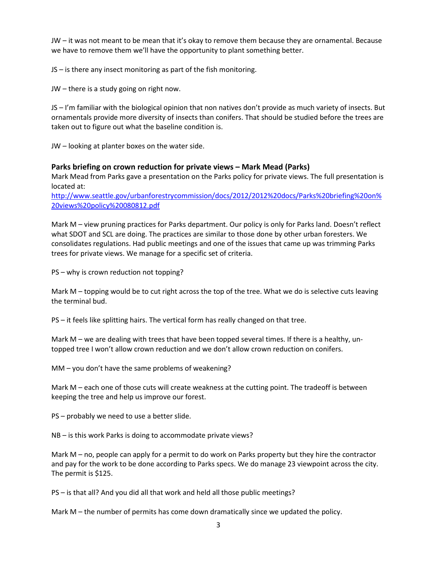JW – it was not meant to be mean that it's okay to remove them because they are ornamental. Because we have to remove them we'll have the opportunity to plant something better.

JS – is there any insect monitoring as part of the fish monitoring.

JW – there is a study going on right now.

JS – I'm familiar with the biological opinion that non natives don't provide as much variety of insects. But ornamentals provide more diversity of insects than conifers. That should be studied before the trees are taken out to figure out what the baseline condition is.

JW – looking at planter boxes on the water side.

### **Parks briefing on crown reduction for private views – Mark Mead (Parks)**

Mark Mead from Parks gave a presentation on the Parks policy for private views. The full presentation is located at:

[http://www.seattle.gov/urbanforestrycommission/docs/2012/2012%20docs/Parks%20briefing%20on%](http://www.seattle.gov/urbanforestrycommission/docs/2012/2012%20docs/Parks%20briefing%20on%20views%20policy%20080812.pdf) [20views%20policy%20080812.pdf](http://www.seattle.gov/urbanforestrycommission/docs/2012/2012%20docs/Parks%20briefing%20on%20views%20policy%20080812.pdf)

Mark M – view pruning practices for Parks department. Our policy is only for Parks land. Doesn't reflect what SDOT and SCL are doing. The practices are similar to those done by other urban foresters. We consolidates regulations. Had public meetings and one of the issues that came up was trimming Parks trees for private views. We manage for a specific set of criteria.

PS – why is crown reduction not topping?

Mark M – topping would be to cut right across the top of the tree. What we do is selective cuts leaving the terminal bud.

PS – it feels like splitting hairs. The vertical form has really changed on that tree.

Mark M – we are dealing with trees that have been topped several times. If there is a healthy, untopped tree I won't allow crown reduction and we don't allow crown reduction on conifers.

MM – you don't have the same problems of weakening?

Mark M – each one of those cuts will create weakness at the cutting point. The tradeoff is between keeping the tree and help us improve our forest.

PS – probably we need to use a better slide.

NB – is this work Parks is doing to accommodate private views?

Mark M – no, people can apply for a permit to do work on Parks property but they hire the contractor and pay for the work to be done according to Parks specs. We do manage 23 viewpoint across the city. The permit is \$125.

PS – is that all? And you did all that work and held all those public meetings?

Mark M – the number of permits has come down dramatically since we updated the policy.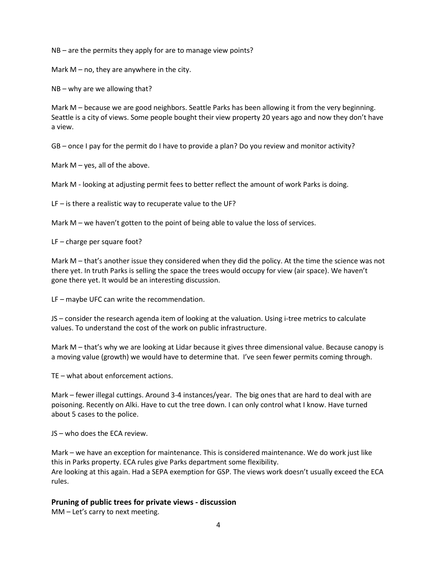NB – are the permits they apply for are to manage view points?

Mark  $M$  – no, they are anywhere in the city.

NB – why are we allowing that?

Mark M – because we are good neighbors. Seattle Parks has been allowing it from the very beginning. Seattle is a city of views. Some people bought their view property 20 years ago and now they don't have a view.

GB – once I pay for the permit do I have to provide a plan? Do you review and monitor activity?

Mark  $M$  – yes, all of the above.

Mark M - looking at adjusting permit fees to better reflect the amount of work Parks is doing.

 $LF -$  is there a realistic way to recuperate value to the UF?

Mark M – we haven't gotten to the point of being able to value the loss of services.

LF – charge per square foot?

Mark M – that's another issue they considered when they did the policy. At the time the science was not there yet. In truth Parks is selling the space the trees would occupy for view (air space). We haven't gone there yet. It would be an interesting discussion.

LF – maybe UFC can write the recommendation.

JS – consider the research agenda item of looking at the valuation. Using i-tree metrics to calculate values. To understand the cost of the work on public infrastructure.

Mark M – that's why we are looking at Lidar because it gives three dimensional value. Because canopy is a moving value (growth) we would have to determine that. I've seen fewer permits coming through.

TE – what about enforcement actions.

Mark – fewer illegal cuttings. Around 3-4 instances/year. The big ones that are hard to deal with are poisoning. Recently on Alki. Have to cut the tree down. I can only control what I know. Have turned about 5 cases to the police.

JS – who does the ECA review.

Mark – we have an exception for maintenance. This is considered maintenance. We do work just like this in Parks property. ECA rules give Parks department some flexibility. Are looking at this again. Had a SEPA exemption for GSP. The views work doesn't usually exceed the ECA rules.

#### **Pruning of public trees for private views - discussion**

MM – Let's carry to next meeting.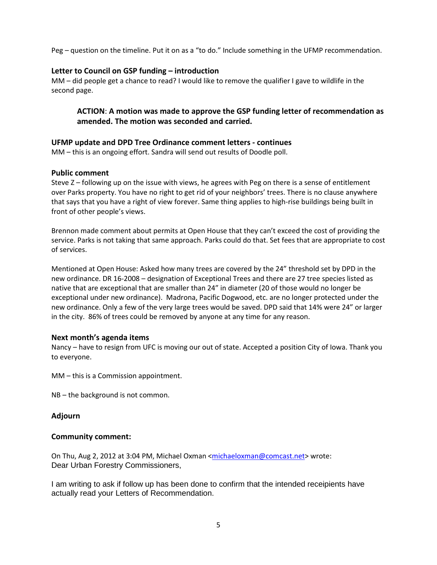Peg – question on the timeline. Put it on as a "to do." Include something in the UFMP recommendation.

#### **Letter to Council on GSP funding – introduction**

MM – did people get a chance to read? I would like to remove the qualifier I gave to wildlife in the second page.

## **ACTION**: **A motion was made to approve the GSP funding letter of recommendation as amended. The motion was seconded and carried.**

#### **UFMP update and DPD Tree Ordinance comment letters - continues**

MM – this is an ongoing effort. Sandra will send out results of Doodle poll.

#### **Public comment**

Steve  $Z$  – following up on the issue with views, he agrees with Peg on there is a sense of entitlement over Parks property. You have no right to get rid of your neighbors' trees. There is no clause anywhere that says that you have a right of view forever. Same thing applies to high-rise buildings being built in front of other people's views.

Brennon made comment about permits at Open House that they can't exceed the cost of providing the service. Parks is not taking that same approach. Parks could do that. Set fees that are appropriate to cost of services.

Mentioned at Open House: Asked how many trees are covered by the 24" threshold set by DPD in the new ordinance. DR 16-2008 – designation of Exceptional Trees and there are 27 tree species listed as native that are exceptional that are smaller than 24" in diameter (20 of those would no longer be exceptional under new ordinance). Madrona, Pacific Dogwood, etc. are no longer protected under the new ordinance. Only a few of the very large trees would be saved. DPD said that 14% were 24" or larger in the city. 86% of trees could be removed by anyone at any time for any reason.

#### **Next month's agenda items**

Nancy – have to resign from UFC is moving our out of state. Accepted a position City of Iowa. Thank you to everyone.

MM – this is a Commission appointment.

NB – the background is not common.

### **Adjourn**

#### **Community comment:**

On Thu, Aug 2, 2012 at 3:04 PM, Michael Oxman [<michaeloxman@comcast.net>](mailto:michaeloxman@comcast.net) wrote: Dear Urban Forestry Commissioners,

I am writing to ask if follow up has been done to confirm that the intended receipients have actually read your Letters of Recommendation.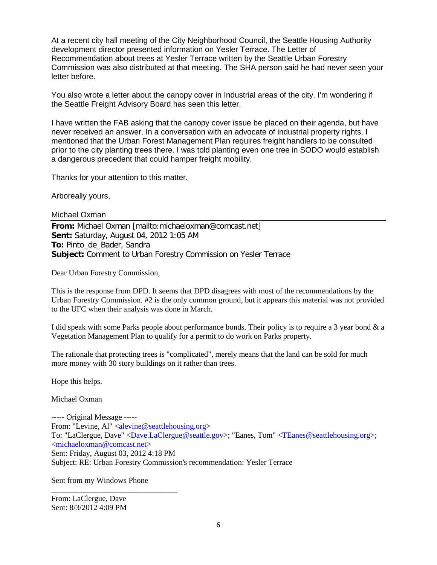At a recent city hall meeting of the City Neighborhood Council, the Seattle Housing Authority development director presented information on Yesler Terrace. The Letter of Recommendation about trees at Yesler Terrace written by the Seattle Urban Forestry Commission was also distributed at that meeting. The SHA person said he had never seen your letter before.

You also wrote a letter about the canopy cover in Industrial areas of the city. I'm wondering if the Seattle Freight Advisory Board has seen this letter.

I have written the FAB asking that the canopy cover issue be placed on their agenda, but have never received an answer. In a conversation with an advocate of industrial property rights, I mentioned that the Urban Forest Management Plan requires freight handlers to be consulted prior to the city planting trees there. I was told planting even one tree in SODO would establish a dangerous precedent that could hamper freight mobility.

Thanks for your attention to this matter.

Arboreally yours,

Michael Oxman **From:** Michael Oxman [mailto:michaeloxman@comcast.net] **Sent:** Saturday, August 04, 2012 1:05 AM **To:** Pinto\_de\_Bader, Sandra **Subject:** Comment to Urban Forestry Commission on Yesler Terrace

Dear Urban Forestry Commission,

This is the response from DPD. It seems that DPD disagrees with most of the recommendations by the Urban Forestry Commission. #2 is the only common ground, but it appears this material was not provided to the UFC when their analysis was done in March.

I did speak with some Parks people about performance bonds. Their policy is to require a 3 year bond & a Vegetation Management Plan to qualify for a permit to do work on Parks property.

The rationale that protecting trees is "complicated", merely means that the land can be sold for much more money with 30 story buildings on it rather than trees.

Hope this helps.

Michael Oxman

----- Original Message ----- From: "Levine, Al" [<alevine@seattlehousing.org>](mailto:alevine@seattlehousing.org) To: "LaClergue, Dave" < <u>Dave.LaClergue@seattle.gov</u>>; "Eanes, Tom" < TEanes@seattlehousing.org>; [<michaeloxman@comcast.net>](mailto:michaeloxman@comcast.net) Sent: Friday, August 03, 2012 4:18 PM Subject: RE: Urban Forestry Commission's recommendation: Yesler Terrace

Sent from my Windows Phone

\_\_\_\_\_\_\_\_\_\_\_\_\_\_\_\_\_\_\_\_\_\_\_\_\_\_\_\_\_\_\_\_

From: LaClergue, Dave Sent: 8/3/2012 4:09 PM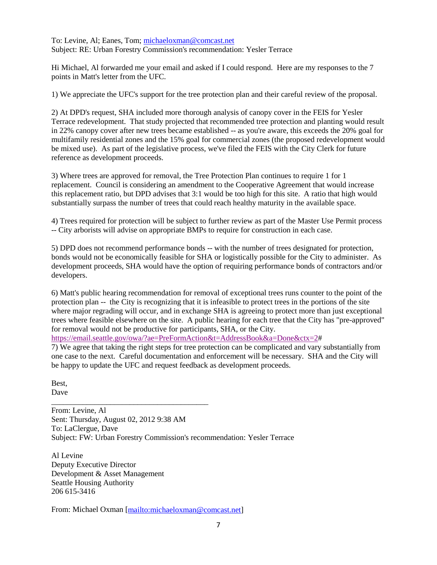To: Levine, Al; Eanes, Tom; [michaeloxman@comcast.net](mailto:michaeloxman@comcast.net) Subject: RE: Urban Forestry Commission's recommendation: Yesler Terrace

Hi Michael, Al forwarded me your email and asked if I could respond. Here are my responses to the 7 points in Matt's letter from the UFC.

1) We appreciate the UFC's support for the tree protection plan and their careful review of the proposal.

2) At DPD's request, SHA included more thorough analysis of canopy cover in the FEIS for Yesler Terrace redevelopment. That study projected that recommended tree protection and planting would result in 22% canopy cover after new trees became established -- as you're aware, this exceeds the 20% goal for multifamily residential zones and the 15% goal for commercial zones (the proposed redevelopment would be mixed use). As part of the legislative process, we've filed the FEIS with the City Clerk for future reference as development proceeds.

3) Where trees are approved for removal, the Tree Protection Plan continues to require 1 for 1 replacement. Council is considering an amendment to the Cooperative Agreement that would increase this replacement ratio, but DPD advises that 3:1 would be too high for this site. A ratio that high would substantially surpass the number of trees that could reach healthy maturity in the available space.

4) Trees required for protection will be subject to further review as part of the Master Use Permit process -- City arborists will advise on appropriate BMPs to require for construction in each case.

5) DPD does not recommend performance bonds -- with the number of trees designated for protection, bonds would not be economically feasible for SHA or logistically possible for the City to administer. As development proceeds, SHA would have the option of requiring performance bonds of contractors and/or developers.

6) Matt's public hearing recommendation for removal of exceptional trees runs counter to the point of the protection plan -- the City is recognizing that it is infeasible to protect trees in the portions of the site where major regrading will occur, and in exchange SHA is agreeing to protect more than just exceptional trees where feasible elsewhere on the site. A public hearing for each tree that the City has "pre-approved" for removal would not be productive for participants, SHA, or the City.

[https://email.seattle.gov/owa/?ae=PreFormAction&t=AddressBook&a=Done&ctx=2#](https://email.seattle.gov/owa/?ae=PreFormAction&t=AddressBook&a=Done&ctx=2)

7) We agree that taking the right steps for tree protection can be complicated and vary substantially from one case to the next. Careful documentation and enforcement will be necessary. SHA and the City will be happy to update the UFC and request feedback as development proceeds.

Best, Dave

From: Levine, Al Sent: Thursday, August 02, 2012 9:38 AM To: LaClergue, Dave Subject: FW: Urban Forestry Commission's recommendation: Yesler Terrace

Al Levine Deputy Executive Director Development & Asset Management Seattle Housing Authority 206 615-3416

\_\_\_\_\_\_\_\_\_\_\_\_\_\_\_\_\_\_\_\_\_\_\_\_\_\_\_\_\_\_\_\_\_\_\_\_\_\_\_\_

From: Michael Oxman [\[mailto:michaeloxman@comcast.net\]](mailto:michaeloxman@comcast.net)